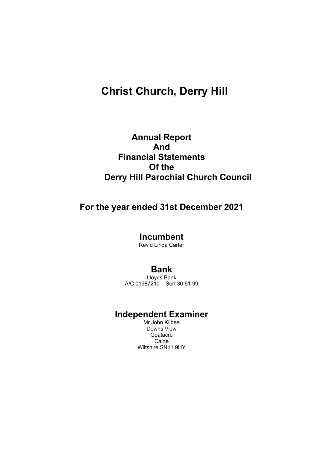# **Christ Church, Derry Hill**

# **Annual Report And Financial Statements Of the Derry Hill Parochial Church Council**

# **For the year ended 31st December 2021**

**Incumbent**

Rev'd Linda Carter

## **Bank**

Lloyds Bank A/C 01987210 Sort 30 91 99

# **Independent Examiner**

Mr John Kilbee Downs View **Goatacre Calne** Wiltshire SN11 9HY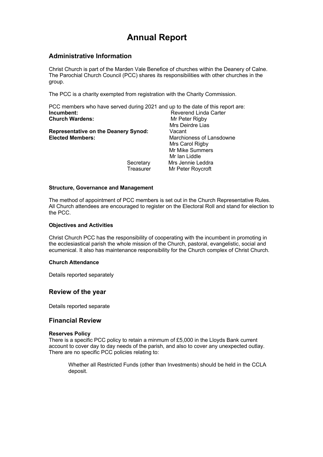# **Annual Report**

### **Administrative Information**

Christ Church is part of the Marden Vale Benefice of churches within the Deanery of Calne. The Parochial Church Council (PCC) shares its responsibilities with other churches in the group.

The PCC is a charity exempted from registration with the Charity Commission.

|                                             |           | PCC members who have served during 2021 and up to the date of this report are: |
|---------------------------------------------|-----------|--------------------------------------------------------------------------------|
| Incumbent:                                  |           | Reverend Linda Carter                                                          |
| <b>Church Wardens:</b>                      |           | Mr Peter Rigby                                                                 |
|                                             |           | Mrs Deirdre Lias                                                               |
| <b>Representative on the Deanery Synod:</b> |           | Vacant                                                                         |
| <b>Elected Members:</b>                     |           | Marchioness of Lansdowne                                                       |
|                                             |           | Mrs Carol Rigby                                                                |
|                                             |           | Mr Mike Summers                                                                |
|                                             |           | Mr Ian Liddle                                                                  |
|                                             | Secretary | Mrs Jennie Leddra                                                              |
|                                             | Treasurer | Mr Peter Roycroft                                                              |
|                                             |           |                                                                                |

#### **Structure, Governance and Management**

The method of appointment of PCC members is set out in the Church Representative Rules. All Church attendees are encouraged to register on the Electoral Roll and stand for election to the PCC.

#### **Objectives and Activities**

Christ Church PCC has the responsibility of cooperating with the incumbent in promoting in the ecclesiastical parish the whole mission of the Church, pastoral, evangelistic, social and ecumenical. It also has maintenance responsibility for the Church complex of Christ Church.

### **Church Attendance**

Details reported separately

### **Review of the year**

Details reported separate

### **Financial Review**

#### **Reserves Policy**

There is a specific PCC policy to retain a minmum of £5,000 in the Lloyds Bank current account to cover day to day needs of the parish, and also to cover any unexpected outlay. There are no specific PCC policies relating to:

Whether all Restricted Funds (other than Investments) should be held in the CCLA deposit.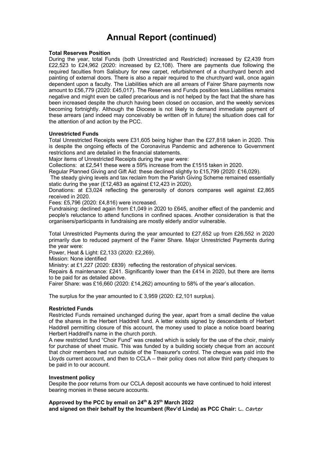# **Annual Report (continued)**

#### **Total Reserves Position**

During the year, total Funds (both Unrestricted and Restricted) increased by £2,439 from £22,523 to £24,962 (2020: increased by £2,108). There are payments due following the required faculties from Salisbury for new carpet, refurbishment of a churchyard bench and painting of external doors. There is also a repair required to the churchyard wall, once again dependent upon a faculty. The Liabilities which are all arrears of Fairer Share payments now amount to £56,779 (2020: £45,017). The Reserves and Funds position less Liabilities remains negative and might even be called precarious and is not helped by the fact that the share has been increased despite the church having been closed on occasion, and the weekly services becoming fortnightly. Although the Diocese is not likely to demand immediate payment of these arrears (and indeed may conceivably be written off in future) the situation does call for the attention of and action by the PCC.

#### **Unrestricted Funds**

Total Unrestricted Receipts were £31,605 being higher than the £27,818 taken in 2020. This is despite the ongoing effects of the Coronavirus Pandemic and adherence to Government restrictions and are detailed in the financial statements.

Major items of Unrestricted Receipts during the year were:

Collections: at £2,541 these were a 59% increase from the £1515 taken in 2020.

Regular Planned Giving and Gift Aid: these declined slightly to £15,799 (2020: £16,029).

The steady giving levels and tax reclaim from the Parish Giving Scheme remained essentially static during the year (£12,483 as against £12,423 in 2020).

Donations: at £3,024 reflecting the generosity of donors compares well against £2,865 received in 2020.

Fees: £5,796 (2020: £4,816) were increased.

Fundraising: declined again from £1,049 in 2020 to £645, another effect of the pandemic and people's reluctance to attend functions in confined spaces. Another consideration is that the organisers/participants in fundraising are mostly elderly and/or vulnerable.

Total Unrestricted Payments during the year amounted to £27,652 up from £26,552 in 2020 primarily due to reduced payment of the Fairer Share. Major Unrestricted Payments during the year were:

Power, Heat & Light: £2,133 (2020: £2,269).

Mission: None identified

Ministry: at £1,227 (2020: £839) reflecting the restoration of physical services.

Repairs & maintenance: £241. Significantly lower than the £414 in 2020, but there are items to be paid for as detailed above.

Fairer Share: was £16,660 (2020: £14,262) amounting to 58% of the year's allocation.

The surplus for the year amounted to £ 3,959 (2020: £2,101 surplus).

### **Restricted Funds**

Restricted Funds remained unchanged during the year, apart from a small decline the value of the shares in the Herbert Haddrell fund. A letter exists signed by descendants of Herbert Haddrell permitting closure of this account, the money used to place a notice board bearing Herbert Haddrell's name in the church porch.

A new restricted fund "Choir Fund" was created which is solely for the use of the choir, mainly for purchase of sheet music. This was funded by a building society cheque from an account that choir members had run outside of the Treasurer's control. The cheque was paid into the Lloyds current account, and then to CCLA – their policy does not allow third party cheques to be paid in to our account.

### **Investment policy**

Despite the poor returns from our CCLA deposit accounts we have continued to hold interest bearing monies in these secure accounts.

**Approved by the PCC by email on 24th & 25th March 2022 and signed on their behalf by the Incumbent (Rev'd Linda) as PCC Chair: L. Carter**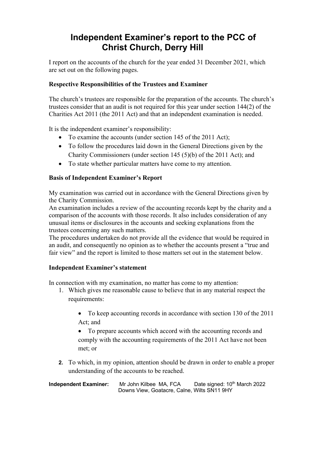# **Independent Examiner's report to the PCC of Christ Church, Derry Hill**

I report on the accounts of the church for the year ended 31 December 2021, which are set out on the following pages.

### **Respective Responsibilities of the Trustees and Examiner**

The church's trustees are responsible for the preparation of the accounts. The church's trustees consider that an audit is not required for this year under section 144(2) of the Charities Act 2011 (the 2011 Act) and that an independent examination is needed.

It is the independent examiner's responsibility:

- To examine the accounts (under section 145 of the 2011 Act);
- To follow the procedures laid down in the General Directions given by the Charity Commissioners (under section 145 (5)(b) of the 2011 Act); and
- To state whether particular matters have come to my attention.

### **Basis of Independent Examiner's Report**

My examination was carried out in accordance with the General Directions given by the Charity Commission.

An examination includes a review of the accounting records kept by the charity and a comparison of the accounts with those records. It also includes consideration of any unusual items or disclosures in the accounts and seeking explanations from the trustees concerning any such matters.

The procedures undertaken do not provide all the evidence that would be required in an audit, and consequently no opinion as to whether the accounts present a "true and fair view" and the report is limited to those matters set out in the statement below.

### **Independent Examiner's statement**

In connection with my examination, no matter has come to my attention:

- 1. Which gives me reasonable cause to believe that in any material respect the requirements:
	- To keep accounting records in accordance with section 130 of the 2011 Act; and

• To prepare accounts which accord with the accounting records and comply with the accounting requirements of the 2011 Act have not been met; or

**2.** To which, in my opinion, attention should be drawn in order to enable a proper understanding of the accounts to be reached.

**Independent Examiner:** Mr John Kilbee MA, FCA Date signed: 10<sup>th</sup> March 2022 Downs View, Goatacre, Calne, Wilts SN11 9HY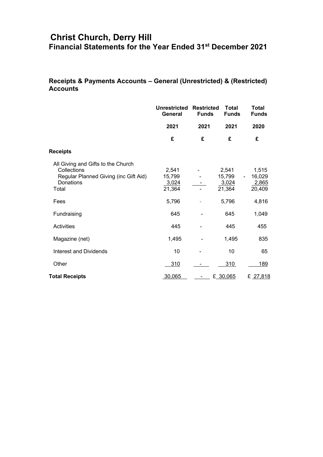## **Christ Church, Derry Hill Financial Statements for the Year Ended 31st December 2021**

## **Receipts & Payments Accounts – General (Unrestricted) & (Restricted) Accounts**

|                                                                                                                  | <b>Unrestricted</b><br>General     | <b>Restricted</b><br><b>Funds</b> | <b>Total</b><br><b>Funds</b>       | <b>Total</b><br><b>Funds</b>       |
|------------------------------------------------------------------------------------------------------------------|------------------------------------|-----------------------------------|------------------------------------|------------------------------------|
|                                                                                                                  | 2021                               | 2021                              | 2021                               | 2020                               |
|                                                                                                                  | £                                  | £                                 | £                                  | £                                  |
| <b>Receipts</b>                                                                                                  |                                    |                                   |                                    |                                    |
| All Giving and Gifts to the Church<br>Collections<br>Regular Planned Giving (inc Gift Aid)<br>Donations<br>Total | 2,541<br>15,799<br>3,024<br>21,364 |                                   | 2,541<br>15,799<br>3,024<br>21,364 | 1,515<br>16,029<br>2,865<br>20,409 |
| Fees                                                                                                             | 5,796                              |                                   | 5,796                              | 4,816                              |
| Fundraising                                                                                                      | 645                                |                                   | 645                                | 1,049                              |
| Activities                                                                                                       | 445                                |                                   | 445                                | 455                                |
| Magazine (net)                                                                                                   | 1,495                              |                                   | 1,495                              | 835                                |
| <b>Interest and Dividends</b>                                                                                    | 10                                 |                                   | 10                                 | 65                                 |
| Other                                                                                                            | 310                                |                                   | 310                                | 189                                |
| <b>Total Receipts</b>                                                                                            | 30,065                             |                                   | £ 30,065                           | £ 27,818                           |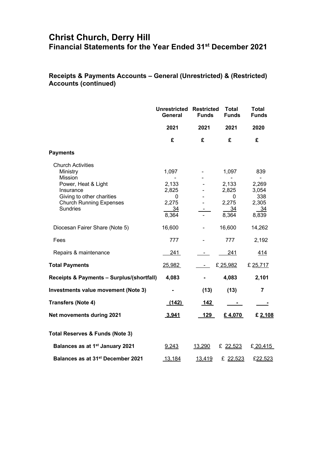## **Christ Church, Derry Hill Financial Statements for the Year Ended 31st December 2021**

## **Receipts & Payments Accounts – General (Unrestricted) & (Restricted) Accounts (continued)**

|                                                                                     | <b>Unrestricted Restricted</b><br>General        | <b>Funds</b> | <b>Total</b><br><b>Funds</b>                        | <b>Total</b><br><b>Funds</b>            |
|-------------------------------------------------------------------------------------|--------------------------------------------------|--------------|-----------------------------------------------------|-----------------------------------------|
|                                                                                     | 2021                                             | 2021         | 2021                                                | 2020                                    |
|                                                                                     | £                                                | £            | £                                                   | £                                       |
| <b>Payments</b>                                                                     |                                                  |              |                                                     |                                         |
| <b>Church Activities</b><br>Ministry<br>Mission<br>Power, Heat & Light<br>Insurance | 1,097<br>2,133<br>2,825                          |              | 1,097<br>$\overline{\phantom{0}}$<br>2,133<br>2,825 | 839<br>$\blacksquare$<br>2,269<br>3,054 |
| Giving to other charities<br><b>Church Running Expenses</b><br><b>Sundries</b>      | $\mathbf{0}$<br>2,275<br>$\frac{34}{2}$<br>8,364 |              | $\Omega$<br>2,275<br>$\frac{34}{2}$<br>8,364        | 338<br>2,305<br>$-34$<br>8,839          |
| Diocesan Fairer Share (Note 5)                                                      | 16,600                                           |              | 16,600                                              | 14,262                                  |
| Fees                                                                                | 777                                              |              | 777                                                 | 2,192                                   |
| Repairs & maintenance                                                               | 241                                              |              | 241                                                 | <u>414</u>                              |
| <b>Total Payments</b>                                                               | 25,982                                           |              | £25,982                                             | £ 25,717                                |
| Receipts & Payments - Surplus/(shortfall)                                           | 4,083                                            |              | 4,083                                               | 2,101                                   |
| Investments value movement (Note 3)                                                 |                                                  | (13)         | (13)                                                | $\overline{7}$                          |
| <b>Transfers (Note 4)</b>                                                           | (142)                                            | $142$        | $\sim$ 10 $\pm$                                     |                                         |
| <b>Net movements during 2021</b>                                                    | 3.941                                            | 129          | £4,070                                              | £ 2,108                                 |
| <b>Total Reserves &amp; Funds (Note 3)</b>                                          |                                                  |              |                                                     |                                         |
| Balances as at 1 <sup>st</sup> January 2021                                         | 9,243                                            | 13,290       | £ 22,523                                            | £20,415                                 |
| Balances as at 31 <sup>st</sup> December 2021                                       | 13,184                                           | 13,419       | £ 22,523                                            | £22,523                                 |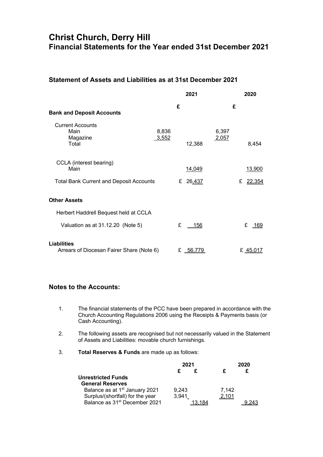## **Christ Church, Derry Hill Financial Statements for the Year ended 31st December 2021**

### **Statement of Assets and Liabilities as at 31st December 2021**

|                                                                                   |                | 2021             |                | 2020                  |
|-----------------------------------------------------------------------------------|----------------|------------------|----------------|-----------------------|
| <b>Bank and Deposit Accounts</b>                                                  | £              |                  | £              |                       |
| <b>Current Accounts</b><br>Main<br>Magazine<br>Total                              | 8,836<br>3,552 | 12,388           | 6,397<br>2,057 | 8,454                 |
| CCLA (interest bearing)<br>Main<br><b>Total Bank Current and Deposit Accounts</b> | £              | 14,049<br>26,437 |                | 13,900<br>£<br>22,354 |
| <b>Other Assets</b>                                                               |                |                  |                |                       |
| Herbert Haddrell Bequest held at CCLA                                             |                |                  |                |                       |
| Valuation as at 31.12.20 (Note 5)                                                 | £              | <u> 156</u>      |                | £ 169                 |
| Liabilities<br>Arrears of Diocesan Fairer Share (Note 6)                          |                | £ 56.779         |                | £ 45,017              |

### **Notes to the Accounts:**

- 1. The financial statements of the PCC have been prepared in accordance with the Church Accounting Regulations 2006 using the Receipts & Payments basis (or Cash Accounting).
- 2. The following assets are recognised but not necessarily valued in the Statement of Assets and Liabilities: movable church furnishings.
- 3. **Total Reserves & Funds** are made up as follows:

|                                            | 2021  |  | 2020  |  |
|--------------------------------------------|-------|--|-------|--|
|                                            |       |  |       |  |
| <b>Unrestricted Funds</b>                  |       |  |       |  |
| <b>General Reserves</b>                    |       |  |       |  |
| Balance as at 1 <sup>st</sup> January 2021 | 9.243 |  | 7.142 |  |
| Surplus/(shortfall) for the year           | 3,941 |  | 2.101 |  |
| Balance as 31 <sup>st</sup> December 2021  |       |  |       |  |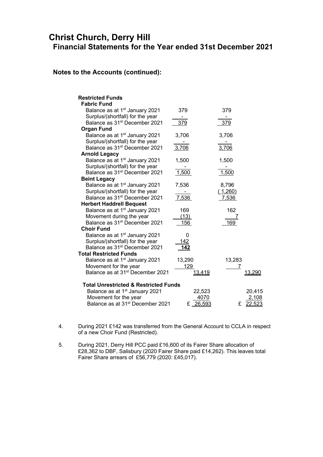## **Christ Church, Derry Hill Financial Statements for the Year ended 31st December 2021**

### **Notes to the Accounts (continued):**

| <b>Restricted Funds</b><br><b>Fabric Fund</b>    |             |             |
|--------------------------------------------------|-------------|-------------|
| Balance as at 1 <sup>st</sup> January 2021       | 379         | 379         |
| Surplus/(shortfall) for the year                 |             |             |
| Balance as 31 <sup>st</sup> December 2021        | 379         | 379         |
| <b>Organ Fund</b>                                |             |             |
| Balance as at 1 <sup>st</sup> January 2021       | 3,706       | 3,706       |
| Surplus/(shortfall) for the year                 |             |             |
| Balance as 31 <sup>st</sup> December 2021        | 3,706       | 3,706       |
| <b>Arnold Legacy</b>                             |             |             |
| Balance as at 1 <sup>st</sup> January 2021       | 1,500       | 1,500       |
| Surplus/(shortfall) for the year                 |             |             |
| Balance as 31 <sup>st</sup> December 2021        | 1,500       | 1,500       |
| <b>Beint Legacy</b>                              |             |             |
| Balance as at 1 <sup>st</sup> January 2021       | 7,536       | 8,796       |
| Surplus/(shortfall) for the year                 |             | (1,260)     |
| Balance as 31 <sup>st</sup> December 2021        | 7,536       | 7,536       |
| <b>Herbert Haddrell Bequest</b>                  |             |             |
| Balance as at 1 <sup>st</sup> January 2021       | 169         | 162         |
| Movement during the year                         | (13)        |             |
| Balance as 31 <sup>st</sup> December 2021        | 156         | 169         |
| <b>Choir Fund</b>                                |             |             |
| Balance as at 1 <sup>st</sup> January 2021       | 0           |             |
| Surplus/(shortfall) for the year                 | 142         |             |
| Balance as 31 <sup>st</sup> December 2021        | <u> 142</u> |             |
| <b>Total Restricted Funds</b>                    |             |             |
| Balance as at 1 <sup>st</sup> January 2021       | 13,290      | 13,283      |
| Movement for the year                            | 129         | 7           |
| Balance as at 31 <sup>st</sup> December 2021     | 3.419       | 13.290      |
|                                                  |             |             |
| <b>Total Unrestricted &amp; Restricted Funds</b> |             |             |
| Balance as at 1 <sup>st</sup> January 2021       | 22,523      | 20,415      |
| Movement for the year                            | 4070        | 2,108       |
| Balance as at 31 <sup>st</sup> December 2021     | 26,593<br>£ | £<br>22,523 |

- 4. During 2021 £142 was transferred from the General Account to CCLA in respect of a new Choir Fund (Restricted).
- 5. During 2021, Derry Hill PCC paid £16,600 of its Fairer Share allocation of £28,362 to DBF, Salisbury (2020 Fairer Share paid £14,262). This leaves total Fairer Share arrears of £56,779 (2020: £45,017).